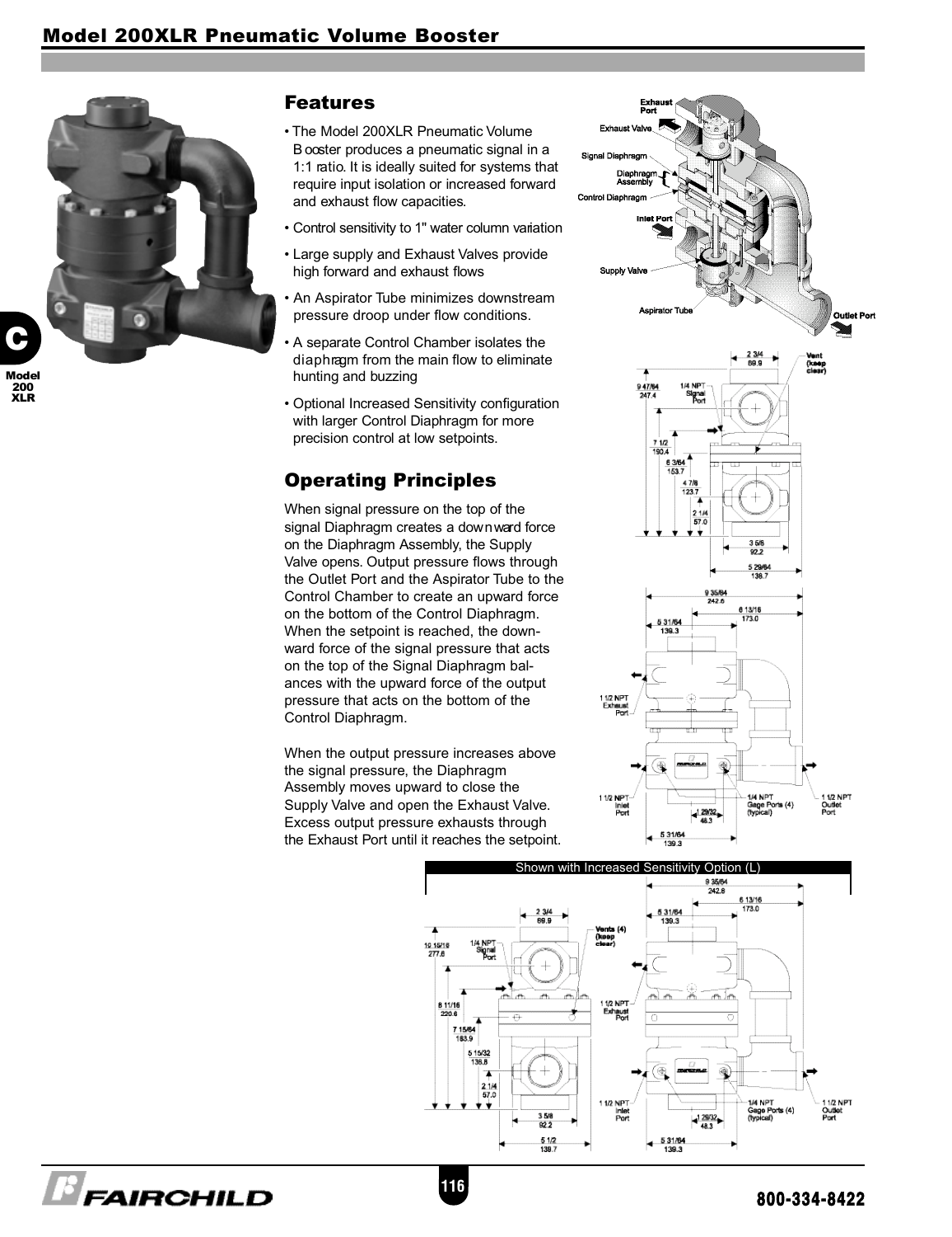

**E** FAIRCHILD

Model 200 XLR

## Features

- The Model 200XLR Pneumatic Volume B ooster produces a pneumatic signal in a 1:1 ratio. It is ideally suited for systems that require input isolation or increased forward and exhaust flow capacities.
- Control sensitivity to 1" water column variation
- Large supply and Exhaust Valves provide high forward and exhaust flows
- An Aspirator Tube minimizes downstream pressure droop under flow conditions.
- A separate Control Chamber isolates the dia phragm from the main flow to eliminate hunting and buzzing
- Optional Increased Sensitivity configuration with larger Control Diaphragm for more precision control at low setpoints.

# Operating Principles

When signal pressure on the top of the signal Diaphragm creates a down ward force on the Diaphragm Assembly, the Supply Valve opens. Output pressure flows through the Outlet Port and the Aspirator Tube to the Control Chamber to create an upward force on the bottom of the Control Diaphragm. When the setpoint is reached, the downward force of the signal pressure that acts on the top of the Signal Diaphragm balances with the upward force of the output pressure that acts on the bottom of the Control Diaphragm.

When the output pressure increases above the signal pressure, the Diaphragm Assembly moves upward to close the Supply Valve and open the Exhaust Valve. Excess output pressure exhausts through the Exhaust Port until it reaches the setpoint.